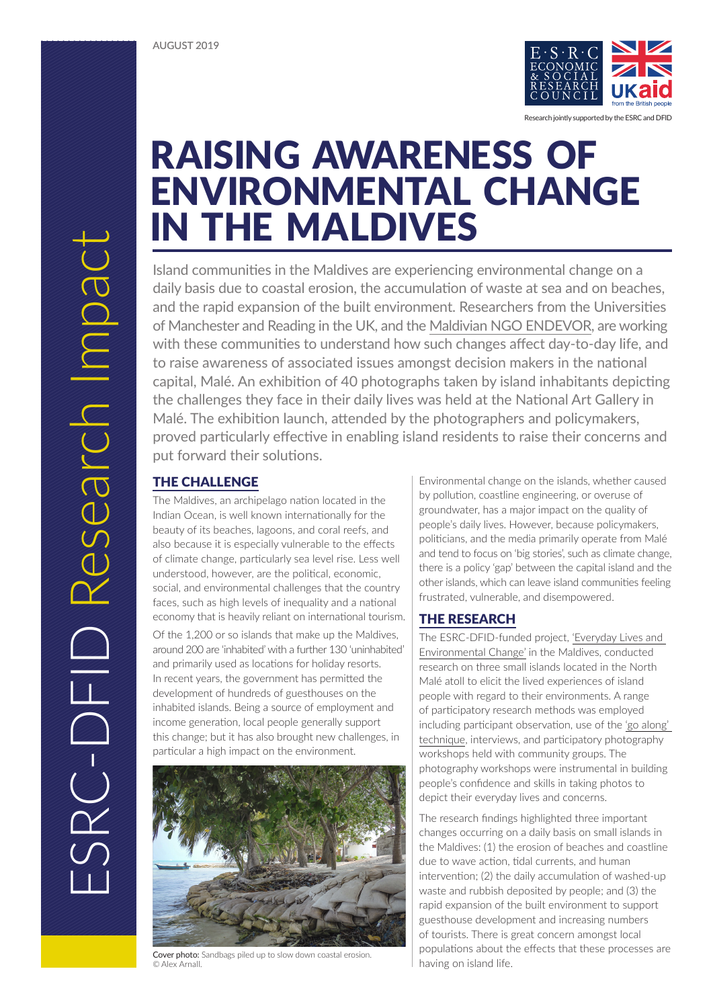

 RAISING AWARENESS OF ENVIRONMENTAL CHANGE IN THE MALDIVES

Island communities in the Maldives are experiencing environmental change on a daily basis due to coastal erosion, the accumulation of waste at sea and on beaches, and the rapid expansion of the built environment. Researchers from the Universities of Manchester and Reading in the UK, and the [Maldivian NGO ENDEVOR,](http://endevors.org/about-1) are working with these communities to understand how such changes affect day-to-day life, and to raise awareness of associated issues amongst decision makers in the national capital, Malé. An exhibition of 40 photographs taken by island inhabitants depicting the challenges they face in their daily lives was held at the National Art Gallery in Malé. The exhibition launch, attended by the photographers and policymakers, proved particularly effective in enabling island residents to raise their concerns and put forward their solutions.

The Maldives, an archipelago nation located in the Indian Ocean, is well known internationally for the beauty of its beaches, lagoons, and coral reefs, and also because it is especially vulnerable to the effects of climate change, particularly sea level rise. Less well understood, however, are the political, economic, social, and environmental challenges that the country faces, such as high levels of inequality and a national economy that is heavily reliant on international tourism.

Of the 1,200 or so islands that make up the Maldives, around 200 are 'inhabited' with a further 130 'uninhabited' and primarily used as locations for holiday resorts. In recent years, the government has permitted the development of hundreds of guesthouses on the inhabited islands. Being a source of employment and income generation, local people generally support this change; but it has also brought new challenges, in particular a high impact on the environment.



Cover photo: Sandbags piled up to slow down coastal erosion. © Alex Arnall.

Environmental change on the islands, whether caused by pollution, coastline engineering, or overuse of groundwater, has a major impact on the quality of people's daily lives. However, because policymakers, politicians, and the media primarily operate from Malé and tend to focus on 'big stories', such as climate change, there is a policy 'gap' between the capital island and the other islands, which can leave island communities feeling frustrated, vulnerable, and disempowered.

# THE RESEARCH

The ESRC-DFID-funded project, ['Everyday Lives and](https://sites.manchester.ac.uk/everyday-lives/)  [Environmental Change'](https://sites.manchester.ac.uk/everyday-lives/) in the Maldives, conducted research on three small islands located in the North Malé atoll to elicit the lived experiences of island people with regard to their environments. A range of participatory research methods was employed including participant observation, use of the ['go along'](https://ignazstrebel.files.wordpress.com/2017/09/go-along_kuschenbach_16.pdf)  [technique,](https://ignazstrebel.files.wordpress.com/2017/09/go-along_kuschenbach_16.pdf) interviews, and participatory photography workshops held with community groups. The photography workshops were instrumental in building people's confidence and skills in taking photos to depict their everyday lives and concerns.

The research findings highlighted three important changes occurring on a daily basis on small islands in the Maldives: (1) the erosion of beaches and coastline due to wave action, tidal currents, and human intervention; (2) the daily accumulation of washed-up waste and rubbish deposited by people; and (3) the rapid expansion of the built environment to support guesthouse development and increasing numbers of tourists. There is great concern amongst local populations about the effects that these processes are having on island life.